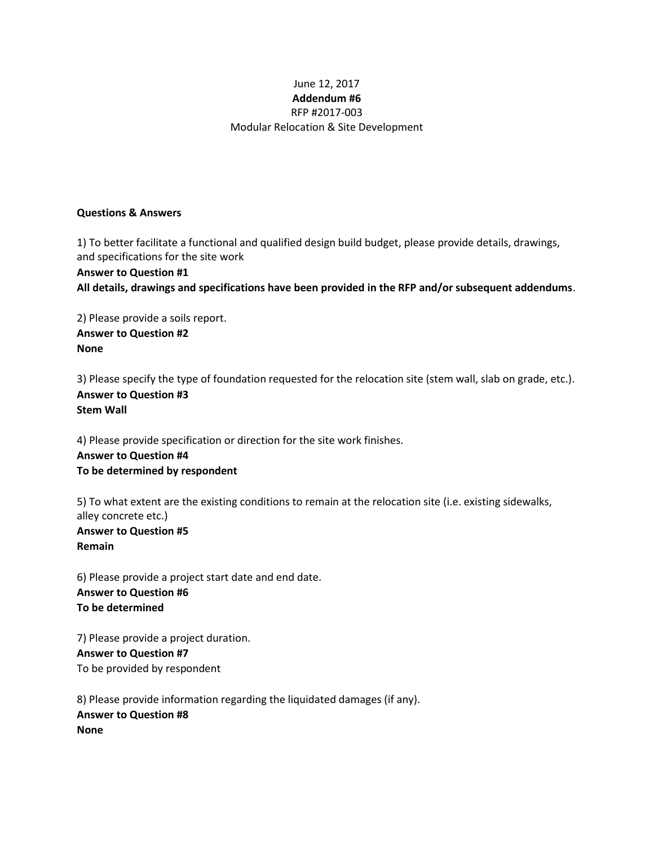# June 12, 2017 **Addendum #6** RFP #2017-003 Modular Relocation & Site Development

## **Questions & Answers**

1) To better facilitate a functional and qualified design build budget, please provide details, drawings, and specifications for the site work **Answer to Question #1 All details, drawings and specifications have been provided in the RFP and/or subsequent addendums**.

2) Please provide a soils report. **Answer to Question #2 None**

3) Please specify the type of foundation requested for the relocation site (stem wall, slab on grade, etc.). **Answer to Question #3 Stem Wall**

4) Please provide specification or direction for the site work finishes. **Answer to Question #4 To be determined by respondent**

5) To what extent are the existing conditions to remain at the relocation site (i.e. existing sidewalks, alley concrete etc.) **Answer to Question #5 Remain**

6) Please provide a project start date and end date. **Answer to Question #6 To be determined** 

7) Please provide a project duration. **Answer to Question #7** To be provided by respondent

8) Please provide information regarding the liquidated damages (if any). **Answer to Question #8 None**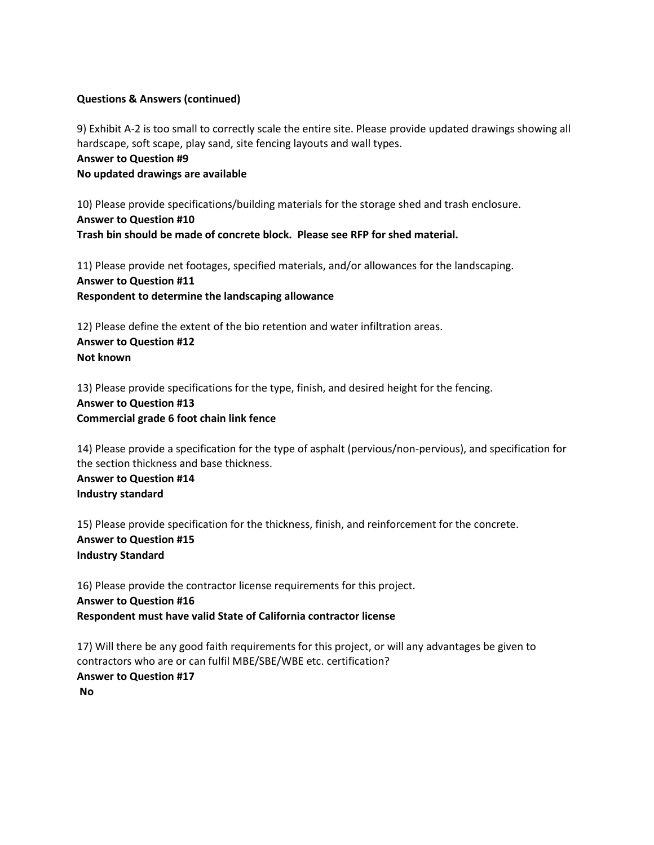9) Exhibit A-2 is too small to correctly scale the entire site. Please provide updated drawings showing all hardscape, soft scape, play sand, site fencing layouts and wall types.

# **Answer to Question #9 No updated drawings are available**

10) Please provide specifications/building materials for the storage shed and trash enclosure. **Answer to Question #10 Trash bin should be made of concrete block. Please see RFP for shed material.** 

11) Please provide net footages, specified materials, and/or allowances for the landscaping. **Answer to Question #11 Respondent to determine the landscaping allowance**

12) Please define the extent of the bio retention and water infiltration areas. **Answer to Question #12 Not known**

13) Please provide specifications for the type, finish, and desired height for the fencing. **Answer to Question #13 Commercial grade 6 foot chain link fence** 

14) Please provide a specification for the type of asphalt (pervious/non-pervious), and specification for the section thickness and base thickness.

**Answer to Question #14 Industry standard**

15) Please provide specification for the thickness, finish, and reinforcement for the concrete. **Answer to Question #15 Industry Standard**

16) Please provide the contractor license requirements for this project. **Answer to Question #16 Respondent must have valid State of California contractor license**

17) Will there be any good faith requirements for this project, or will any advantages be given to contractors who are or can fulfil MBE/SBE/WBE etc. certification? **Answer to Question #17 No**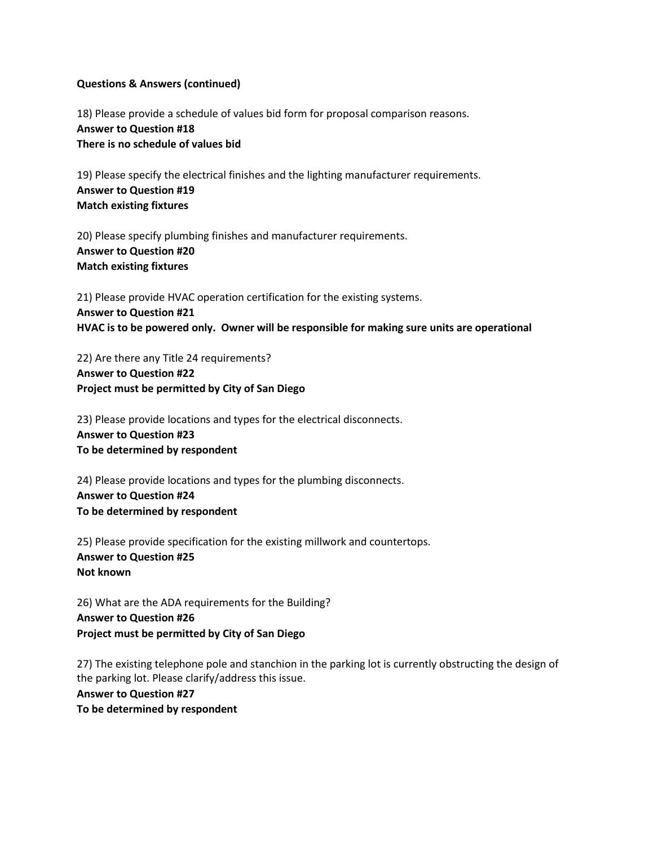18) Please provide a schedule of values bid form for proposal comparison reasons. **Answer to Question #18 There is no schedule of values bid**

19) Please specify the electrical finishes and the lighting manufacturer requirements. **Answer to Question #19 Match existing fixtures**

20) Please specify plumbing finishes and manufacturer requirements. **Answer to Question #20 Match existing fixtures**

21) Please provide HVAC operation certification for the existing systems. **Answer to Question #21 HVAC is to be powered only. Owner will be responsible for making sure units are operational**

22) Are there any Title 24 requirements? **Answer to Question #22 Project must be permitted by City of San Diego**

23) Please provide locations and types for the electrical disconnects. **Answer to Question #23 To be determined by respondent**

24) Please provide locations and types for the plumbing disconnects. **Answer to Question #24 To be determined by respondent**

25) Please provide specification for the existing millwork and countertops. **Answer to Question #25 Not known**

26) What are the ADA requirements for the Building? **Answer to Question #26 Project must be permitted by City of San Diego**

27) The existing telephone pole and stanchion in the parking lot is currently obstructing the design of the parking lot. Please clarify/address this issue.

**Answer to Question #27 To be determined by respondent**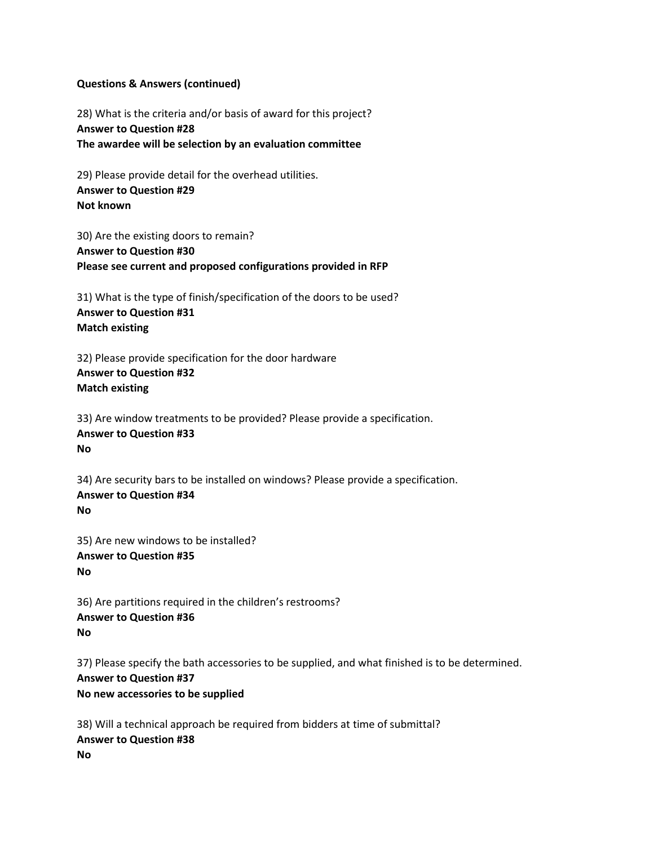28) What is the criteria and/or basis of award for this project? **Answer to Question #28 The awardee will be selection by an evaluation committee**

29) Please provide detail for the overhead utilities. **Answer to Question #29 Not known**

30) Are the existing doors to remain? **Answer to Question #30 Please see current and proposed configurations provided in RFP**

31) What is the type of finish/specification of the doors to be used? **Answer to Question #31 Match existing**

32) Please provide specification for the door hardware **Answer to Question #32 Match existing**

33) Are window treatments to be provided? Please provide a specification. **Answer to Question #33 No**

34) Are security bars to be installed on windows? Please provide a specification. **Answer to Question #34 No**

35) Are new windows to be installed? **Answer to Question #35 No**

36) Are partitions required in the children's restrooms? **Answer to Question #36 No**

37) Please specify the bath accessories to be supplied, and what finished is to be determined. **Answer to Question #37 No new accessories to be supplied**

38) Will a technical approach be required from bidders at time of submittal? **Answer to Question #38 No**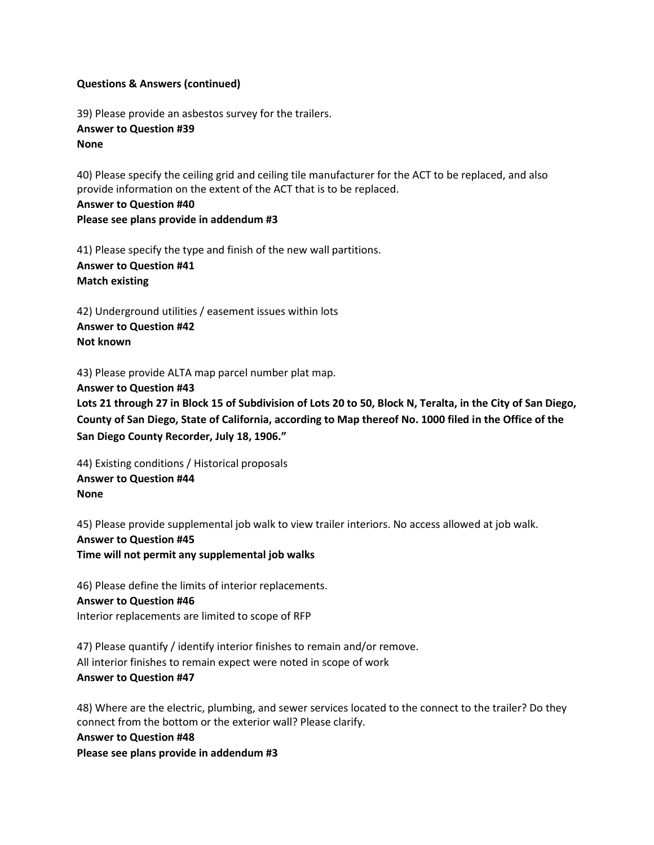39) Please provide an asbestos survey for the trailers. **Answer to Question #39 None**

40) Please specify the ceiling grid and ceiling tile manufacturer for the ACT to be replaced, and also provide information on the extent of the ACT that is to be replaced.

**Answer to Question #40 Please see plans provide in addendum #3**

41) Please specify the type and finish of the new wall partitions.

**Answer to Question #41 Match existing** 

42) Underground utilities / easement issues within lots **Answer to Question #42 Not known**

43) Please provide ALTA map parcel number plat map.

**Answer to Question #43 Lots 21 through 27 in Block 15 of Subdivision of Lots 20 to 50, Block N, Teralta, in the City of San Diego, County of San Diego, State of California, according to Map thereof No. 1000 filed in the Office of the San Diego County Recorder, July 18, 1906."** 

44) Existing conditions / Historical proposals **Answer to Question #44 None**

45) Please provide supplemental job walk to view trailer interiors. No access allowed at job walk. **Answer to Question #45 Time will not permit any supplemental job walks** 

46) Please define the limits of interior replacements. **Answer to Question #46** Interior replacements are limited to scope of RFP

47) Please quantify / identify interior finishes to remain and/or remove. All interior finishes to remain expect were noted in scope of work **Answer to Question #47**

48) Where are the electric, plumbing, and sewer services located to the connect to the trailer? Do they connect from the bottom or the exterior wall? Please clarify.

**Answer to Question #48**

**Please see plans provide in addendum #3**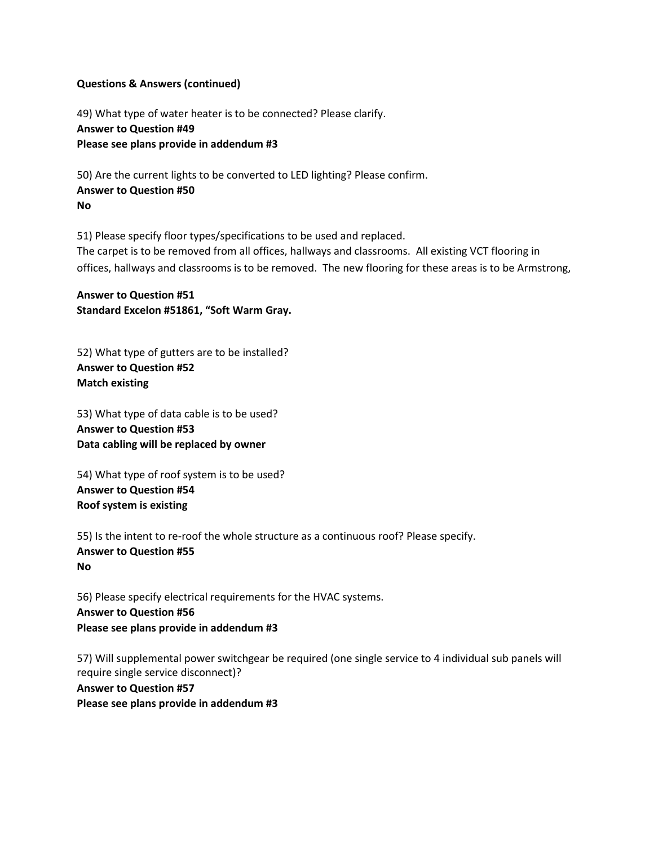49) What type of water heater is to be connected? Please clarify. **Answer to Question #49 Please see plans provide in addendum #3**

50) Are the current lights to be converted to LED lighting? Please confirm. **Answer to Question #50 No**

51) Please specify floor types/specifications to be used and replaced. The carpet is to be removed from all offices, hallways and classrooms. All existing VCT flooring in offices, hallways and classrooms is to be removed. The new flooring for these areas is to be Armstrong,

**Answer to Question #51 Standard Excelon #51861, "Soft Warm Gray.**

52) What type of gutters are to be installed? **Answer to Question #52 Match existing** 

53) What type of data cable is to be used? **Answer to Question #53 Data cabling will be replaced by owner**

54) What type of roof system is to be used? **Answer to Question #54 Roof system is existing**

55) Is the intent to re-roof the whole structure as a continuous roof? Please specify. **Answer to Question #55 No**

56) Please specify electrical requirements for the HVAC systems. **Answer to Question #56 Please see plans provide in addendum #3**

57) Will supplemental power switchgear be required (one single service to 4 individual sub panels will require single service disconnect)?

**Answer to Question #57 Please see plans provide in addendum #3**